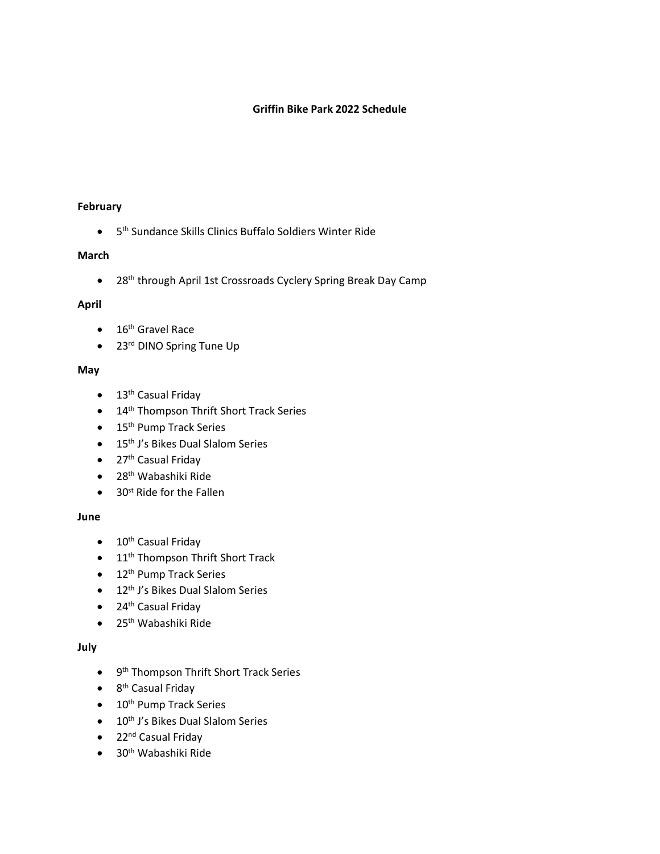### **Griffin Bike Park 2022 Schedule**

#### **February**

• 5<sup>th</sup> Sundance Skills Clinics Buffalo Soldiers Winter Ride

### **March**

• 28<sup>th</sup> through April 1st Crossroads Cyclery Spring Break Day Camp

### **April**

- 16<sup>th</sup> Gravel Race
- 23<sup>rd</sup> DINO Spring Tune Up

### **May**

- $\bullet$  13<sup>th</sup> Casual Friday
- 14<sup>th</sup> Thompson Thrift Short Track Series
- 15<sup>th</sup> Pump Track Series
- 15<sup>th</sup> J's Bikes Dual Slalom Series
- 27<sup>th</sup> Casual Friday
- 28<sup>th</sup> Wabashiki Ride
- 30<sup>st</sup> Ride for the Fallen

### **June**

- 10<sup>th</sup> Casual Friday
- 11<sup>th</sup> Thompson Thrift Short Track
- 12<sup>th</sup> Pump Track Series
- 12<sup>th</sup> J's Bikes Dual Slalom Series
- 24<sup>th</sup> Casual Friday
- 25th Wabashiki Ride

# **July**

- 9<sup>th</sup> Thompson Thrift Short Track Series
- 8<sup>th</sup> Casual Friday
- 10<sup>th</sup> Pump Track Series
- $\bullet$  10<sup>th</sup> J's Bikes Dual Slalom Series
- 22<sup>nd</sup> Casual Friday
- 30th Wabashiki Ride